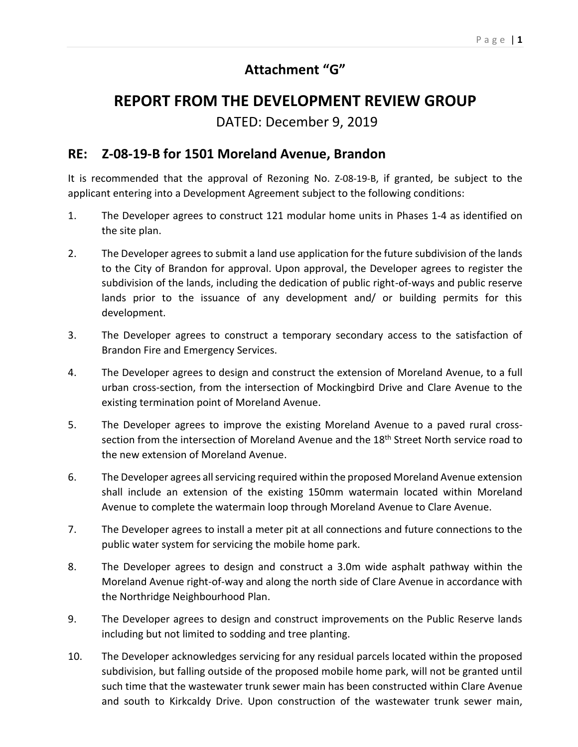## **Attachment "G"**

## **REPORT FROM THE DEVELOPMENT REVIEW GROUP**

DATED: December 9, 2019

## **RE: Z-08-19-B for 1501 Moreland Avenue, Brandon**

It is recommended that the approval of Rezoning No. Z-08-19-B, if granted, be subject to the applicant entering into a Development Agreement subject to the following conditions:

- 1. The Developer agrees to construct 121 modular home units in Phases 1-4 as identified on the site plan.
- 2. The Developer agrees to submit a land use application for the future subdivision of the lands to the City of Brandon for approval. Upon approval, the Developer agrees to register the subdivision of the lands, including the dedication of public right-of-ways and public reserve lands prior to the issuance of any development and/ or building permits for this development.
- 3. The Developer agrees to construct a temporary secondary access to the satisfaction of Brandon Fire and Emergency Services.
- 4. The Developer agrees to design and construct the extension of Moreland Avenue, to a full urban cross-section, from the intersection of Mockingbird Drive and Clare Avenue to the existing termination point of Moreland Avenue.
- 5. The Developer agrees to improve the existing Moreland Avenue to a paved rural crosssection from the intersection of Moreland Avenue and the 18<sup>th</sup> Street North service road to the new extension of Moreland Avenue.
- 6. The Developer agrees all servicing required within the proposed Moreland Avenue extension shall include an extension of the existing 150mm watermain located within Moreland Avenue to complete the watermain loop through Moreland Avenue to Clare Avenue.
- 7. The Developer agrees to install a meter pit at all connections and future connections to the public water system for servicing the mobile home park.
- 8. The Developer agrees to design and construct a 3.0m wide asphalt pathway within the Moreland Avenue right-of-way and along the north side of Clare Avenue in accordance with the Northridge Neighbourhood Plan.
- 9. The Developer agrees to design and construct improvements on the Public Reserve lands including but not limited to sodding and tree planting.
- 10. The Developer acknowledges servicing for any residual parcels located within the proposed subdivision, but falling outside of the proposed mobile home park, will not be granted until such time that the wastewater trunk sewer main has been constructed within Clare Avenue and south to Kirkcaldy Drive. Upon construction of the wastewater trunk sewer main,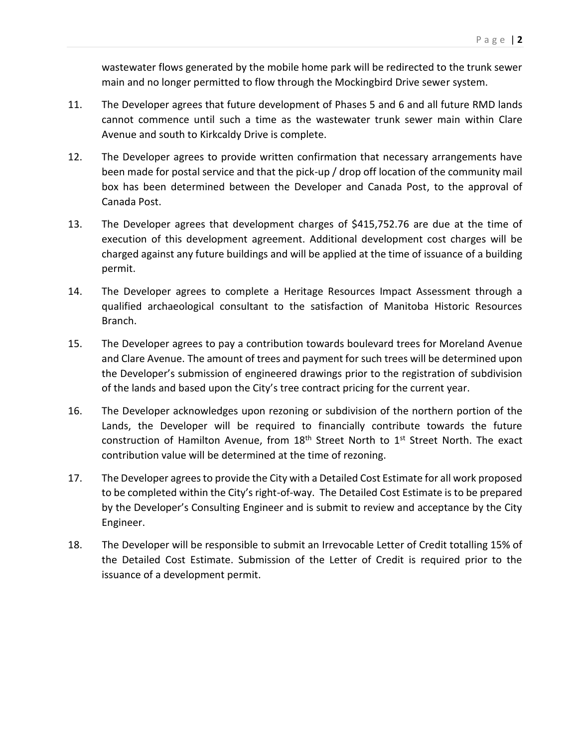wastewater flows generated by the mobile home park will be redirected to the trunk sewer main and no longer permitted to flow through the Mockingbird Drive sewer system.

- 11. The Developer agrees that future development of Phases 5 and 6 and all future RMD lands cannot commence until such a time as the wastewater trunk sewer main within Clare Avenue and south to Kirkcaldy Drive is complete.
- 12. The Developer agrees to provide written confirmation that necessary arrangements have been made for postal service and that the pick-up / drop off location of the community mail box has been determined between the Developer and Canada Post, to the approval of Canada Post.
- 13. The Developer agrees that development charges of \$415,752.76 are due at the time of execution of this development agreement. Additional development cost charges will be charged against any future buildings and will be applied at the time of issuance of a building permit.
- 14. The Developer agrees to complete a Heritage Resources Impact Assessment through a qualified archaeological consultant to the satisfaction of Manitoba Historic Resources Branch.
- 15. The Developer agrees to pay a contribution towards boulevard trees for Moreland Avenue and Clare Avenue. The amount of trees and payment for such trees will be determined upon the Developer's submission of engineered drawings prior to the registration of subdivision of the lands and based upon the City's tree contract pricing for the current year.
- 16. The Developer acknowledges upon rezoning or subdivision of the northern portion of the Lands, the Developer will be required to financially contribute towards the future construction of Hamilton Avenue, from  $18<sup>th</sup>$  Street North to  $1<sup>st</sup>$  Street North. The exact contribution value will be determined at the time of rezoning.
- 17. The Developer agrees to provide the City with a Detailed Cost Estimate for all work proposed to be completed within the City's right-of-way. The Detailed Cost Estimate is to be prepared by the Developer's Consulting Engineer and is submit to review and acceptance by the City Engineer.
- 18. The Developer will be responsible to submit an Irrevocable Letter of Credit totalling 15% of the Detailed Cost Estimate. Submission of the Letter of Credit is required prior to the issuance of a development permit.